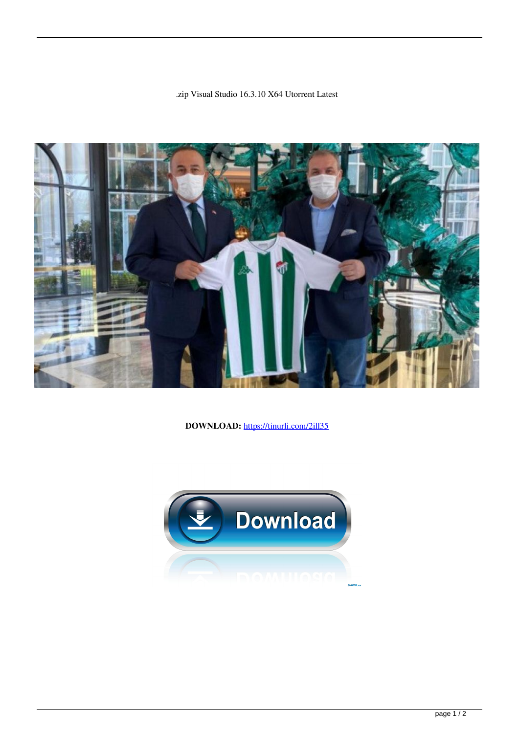



**DOWNLOAD:** <https://tinurli.com/2ill35>